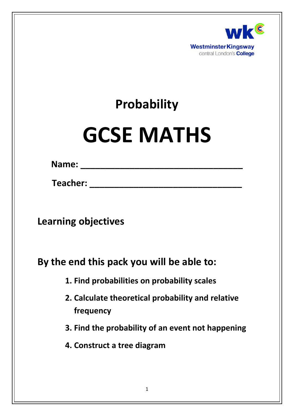

# **Probability**

# **GCSE MATHS**

**Name: \_\_\_\_\_\_\_\_\_\_\_\_\_\_\_\_\_\_\_\_\_\_\_\_\_\_\_\_\_\_\_\_\_**

**Teacher: \_\_\_\_\_\_\_\_\_\_\_\_\_\_\_\_\_\_\_\_\_\_\_\_\_\_\_\_\_\_\_**

**Learning objectives**

**By the end this pack you will be able to:**

**1. Find probabilities on probability scales**

- **2. Calculate theoretical probability and relative frequency**
- **3. Find the probability of an event not happening**
- **4. Construct a tree diagram**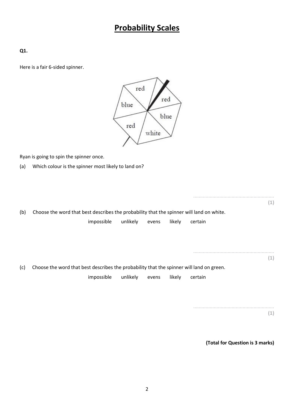## **Probability Scales**

**Q1.**

Here is a fair 6-sided spinner.



Ryan is going to spin the spinner once.

(a) Which colour is the spinner most likely to land on?

| (b) | Choose the word that best describes the probability that the spinner will land on white.<br>unlikely<br>impossible<br>likely<br>certain<br>evens | (1) |
|-----|--------------------------------------------------------------------------------------------------------------------------------------------------|-----|
|     |                                                                                                                                                  | (1) |
| (c) | Choose the word that best describes the probability that the spinner will land on green.                                                         |     |
|     | impossible<br>unlikely<br>likely<br>certain<br>evens                                                                                             |     |
|     |                                                                                                                                                  |     |
|     |                                                                                                                                                  |     |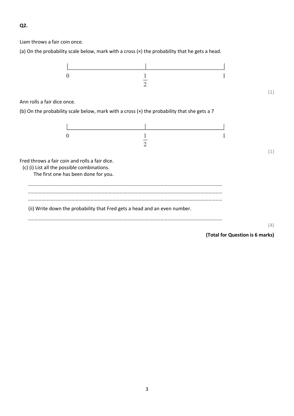#### **Q2.**

Liam throws a fair coin once.

(a) On the probability scale below, mark with a cross (×) the probability that he gets a head.

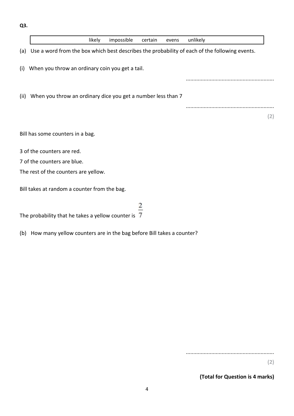**Q3.**

|      | impossible<br>likely<br>unlikely<br>certain<br>evens                                          |     |
|------|-----------------------------------------------------------------------------------------------|-----|
| (a)  | Use a word from the box which best describes the probability of each of the following events. |     |
| (i)  | When you throw an ordinary coin you get a tail.                                               |     |
|      |                                                                                               |     |
| (ii) | When you throw an ordinary dice you get a number less than 7                                  |     |
|      |                                                                                               |     |
|      |                                                                                               | (2) |
|      | Bill has some counters in a bag.                                                              |     |
|      | 3 of the counters are red.                                                                    |     |
|      | 7 of the counters are blue.                                                                   |     |
|      | The rest of the counters are yellow.                                                          |     |
|      | Bill takes at random a counter from the bag.                                                  |     |
|      |                                                                                               |     |

The probability that he takes a yellow counter is  $\overline{7}$ 

(b) How many yellow counters are in the bag before Bill takes a counter?

...........................................................

**(2)**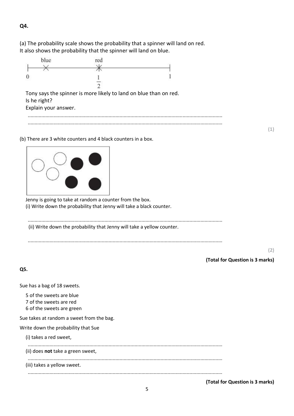#### **Q4.**

(a) The probability scale shows the probability that a spinner will land on red. It also shows the probability that the spinner will land on blue.



(b) There are 3 white counters and 4 black counters in a box.



Jenny is going to take at random a counter from the box. (i) Write down the probability that Jenny will take a black counter.

.............................................................................................................................................. (ii) Write down the probability that Jenny will take a yellow counter.

..............................................................................................................................................

**(2)**

**(1)**

**(Total for Question is 3 marks)**

**Q5.**

Sue has a bag of 18 sweets.

- 5 of the sweets are blue
- 7 of the sweets are red
- 6 of the sweets are green

Sue takes at random a sweet from the bag.

Write down the probability that Sue

| (i) takes a red sweet,            |  |  |
|-----------------------------------|--|--|
| (ii) does not take a green sweet, |  |  |
| (iii) takes a yellow sweet.       |  |  |
|                                   |  |  |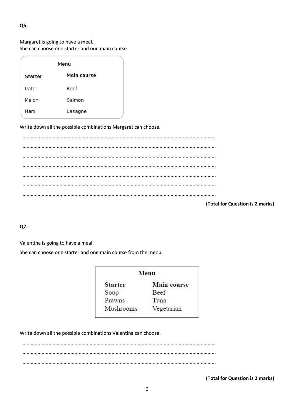#### Q6.

Margaret is going to have a meal. She can choose one starter and one main course.

|                | Menu               |  |
|----------------|--------------------|--|
| <b>Starter</b> | <b>Main course</b> |  |
| Pate           | Beef               |  |
| Melon          | Salmon             |  |
| Ham            | Lasagne            |  |

Write down all the possible combinations Margaret can choose.

(Total for Question is 2 marks)

Q7.

Valentina is going to have a meal.

She can choose one starter and one main course from the menu.

| Menu           |                    |  |  |  |  |
|----------------|--------------------|--|--|--|--|
| <b>Starter</b> | <b>Main</b> course |  |  |  |  |
| Soup           | Beef               |  |  |  |  |
| Prawns         | Tuna               |  |  |  |  |
| Mushrooms      | Vegetarian         |  |  |  |  |

Write down all the possible combinations Valentina can choose.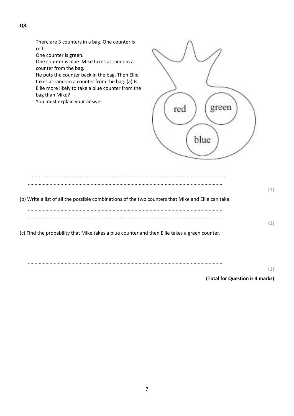There are 3 counters in a bag. One counter is red.

One counter is green.

One counter is blue. Mike takes at random a counter from the bag.

He puts the counter back in the bag. Then Ellie takes at random a counter from the bag. (a) Is Ellie more likely to take a blue counter from the bag than Mike?

You must explain your answer.



| (b) Write a list of all the possible combinations of the two counters that Mike and Ellie can take. |  |
|-----------------------------------------------------------------------------------------------------|--|
|                                                                                                     |  |
| (c) Eind the probability that Mike takes a blue counter and then Ellie takes a green counter        |  |

(c) Find the probability that Mike takes a blue counter and then Ellie takes a green counter.

..............................................................................................................................................

**(1)**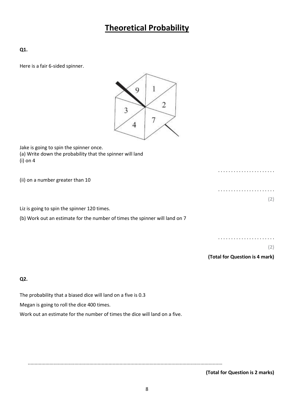# **Theoretical Probability**

**Q1.**

Here is a fair 6-sided spinner.



Jake is going to spin the spinner once. (a) Write down the probability that the spinner will land (i) on 4

| (ii) on a number greater than 10 |     |
|----------------------------------|-----|
|                                  |     |
|                                  | (2) |

Liz is going to spin the spinner 120 times.

(b) Work out an estimate for the number of times the spinner will land on 7

. . . . . . . . . . . . . . . . . . . . . .

**(2)**

**(Total for Question is 4 mark)**

**Q2.**

The probability that a biased dice will land on a five is 0.3

Megan is going to roll the dice 400 times.

Work out an estimate for the number of times the dice will land on a five.

..............................................................................................................................................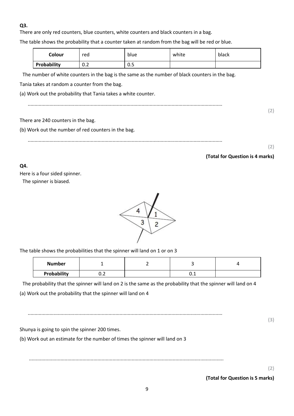#### **Q3.**

There are only red counters, blue counters, white counters and black counters in a bag.

The table shows the probability that a counter taken at random from the bag will be red or blue.

| Colour      | red | blue | white | black |
|-------------|-----|------|-------|-------|
| Probability | 0.2 | ∪.∪  |       |       |

The number of white counters in the bag is the same as the number of black counters in the bag.

Tania takes at random a counter from the bag.

(a) Work out the probability that Tania takes a white counter.

..............................................................................................................................................

#### There are 240 counters in the bag.

(b) Work out the number of red counters in the bag.

..............................................................................................................................................

#### **(2)**

**(2)**

#### **(Total for Question is 4 marks)**

#### **Q4.**

Here is a four sided spinner. The spinner is biased.



The table shows the probabilities that the spinner will land on 1 or on 3

| <b>Number</b> |     |     |  |
|---------------|-----|-----|--|
| Probability   | ◡.∠ | ◡.⊥ |  |

The probability that the spinner will land on 2 is the same as the probability that the spinner will land on 4

(a) Work out the probability that the spinner will land on 4

..............................................................................................................................................

Shunya is going to spin the spinner 200 times.

(b) Work out an estimate for the number of times the spinner will land on 3

..............................................................................................................................................

**(2)**

**(3)**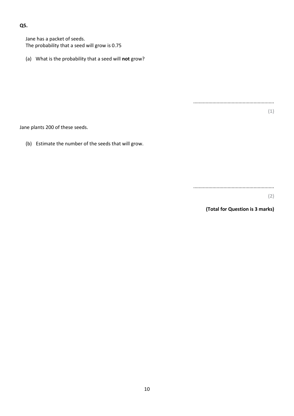#### **Q5.**

Jane has a packet of seeds. The probability that a seed will grow is 0.75

(a) What is the probability that a seed will **not** grow?

Jane plants 200 of these seeds.

(b) Estimate the number of the seeds that will grow.

...........................................................

...........................................................

**(2)**

**(1)**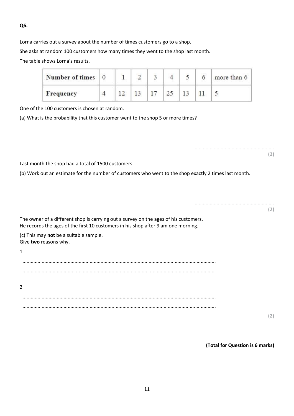#### **Q6.**

Lorna carries out a survey about the number of times customers go to a shop.

She asks at random 100 customers how many times they went to the shop last month.

The table shows Lorna's results.

| Number of times 0 |  |  |  | more than 6 |
|-------------------|--|--|--|-------------|
| Frequency         |  |  |  |             |

One of the 100 customers is chosen at random.

(a) What is the probability that this customer went to the shop 5 or more times?

........................................................... **(2)** Last month the shop had a total of 1500 customers. (b) Work out an estimate for the number of customers who went to the shop exactly 2 times last month. ........................................................... **(2)** The owner of a different shop is carrying out a survey on the ages of his customers. He records the ages of the first 10 customers in his shop after 9 am one morning. (c) This may **not** be a suitable sample. Give **two** reasons why. 1 ............................................................................................................................................. ............................................................................................................................................. 2 ............................................................................................................................................. .............................................................................................................................................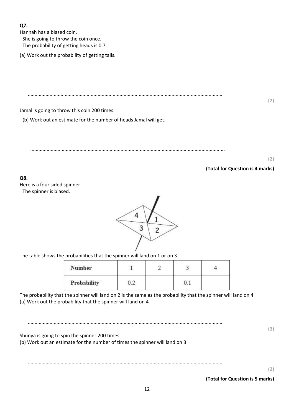#### **Q7.**

Hannah has a biased coin. She is going to throw the coin once. The probability of getting heads is 0.7

(a) Work out the probability of getting tails.

..............................................................................................................................................

**(2)**

Jamal is going to throw this coin 200 times.

(b) Work out an estimate for the number of heads Jamal will get.

..............................................................................................................................................

**(2)**

**(Total for Question is 4 marks)**

**Q8.**

Here is a four sided spinner. The spinner is biased.



The table shows the probabilities that the spinner will land on 1 or on 3

| Number      |  |  |
|-------------|--|--|
| Probability |  |  |

The probability that the spinner will land on 2 is the same as the probability that the spinner will land on 4 (a) Work out the probability that the spinner will land on 4

.............................................................................................................................................. Shunya is going to spin the spinner 200 times. (b) Work out an estimate for the number of times the spinner will land on 3 ..............................................................................................................................................

**(2)**

**(3)**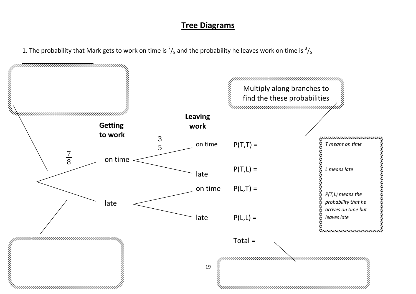### **Tree Diagrams**

1. The probability that Mark gets to work on time is  $\frac{7}{8}$  and the probability he leaves work on time is  $\frac{3}{5}$ 

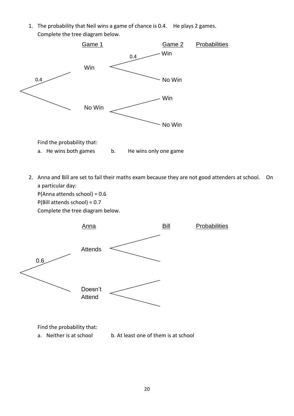1. The probability that Neil wins a game of chance is 0.4. He plays 2 games. Complete the tree diagram below.



2. Anna and Bill are set to fail their maths exam because they are not good attenders at school. On a particular day:

P(Anna attends school) = 0.6 P(Bill attends school) = 0.7 Complete the tree diagram below.



a. Neither is at school b. At least one of them is at school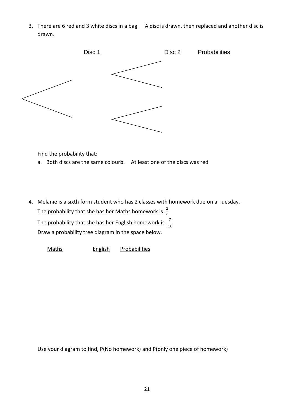3. There are 6 red and 3 white discs in a bag. A disc is drawn, then replaced and another disc is drawn.



Find the probability that:

- a. Both discs are the same colourb. At least one of the discs was red
- 4. Melanie is a sixth form student who has 2 classes with homework due on a Tuesday. The probability that she has her Maths homework is  $\frac{2}{5}$ The probability that she has her English homework is  $\frac{1}{1}$ Draw a probability tree diagram in the space below.

Maths English Probabilities

Use your diagram to find, P(No homework) and P(only one piece of homework)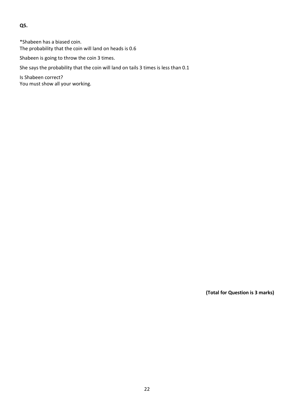**Q5.**

\*Shabeen has a biased coin. The probability that the coin will land on heads is 0.6

Shabeen is going to throw the coin 3 times.

She says the probability that the coin will land on tails 3 times is less than 0.1

Is Shabeen correct? You must show all your working.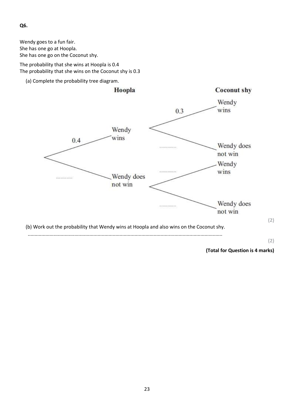Wendy goes to a fun fair. She has one go at Hoopla. She has one go on the Coconut shy.

The probability that she wins at Hoopla is 0.4 The probability that she wins on the Coconut shy is 0.3

(a) Complete the probability tree diagram.



**Q6.**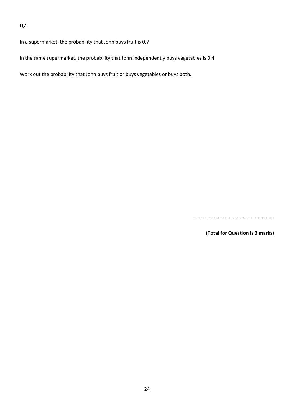#### **Q7.**

In a supermarket, the probability that John buys fruit is 0.7

In the same supermarket, the probability that John independently buys vegetables is 0.4

Work out the probability that John buys fruit or buys vegetables or buys both.

...........................................................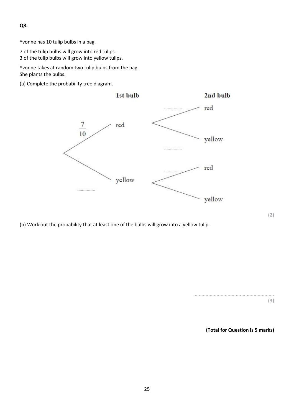**Q8.**

Yvonne has 10 tulip bulbs in a bag.

7 of the tulip bulbs will grow into red tulips.

3 of the tulip bulbs will grow into yellow tulips.

Yvonne takes at random two tulip bulbs from the bag. She plants the bulbs.

(a) Complete the probability tree diagram.



(b) Work out the probability that at least one of the bulbs will grow into a yellow tulip.

........................................................... **(3)**

**(Total for Question is 5 marks)**

**(2)**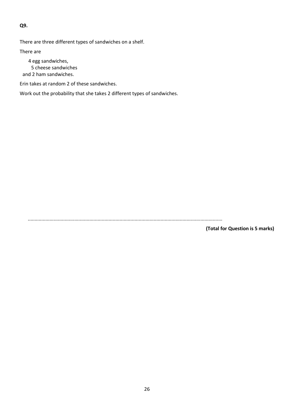**Q9.**

There are three different types of sandwiches on a shelf.

There are

4 egg sandwiches, 5 cheese sandwiches and 2 ham sandwiches.

Erin takes at random 2 of these sandwiches.

Work out the probability that she takes 2 different types of sandwiches.

..............................................................................................................................................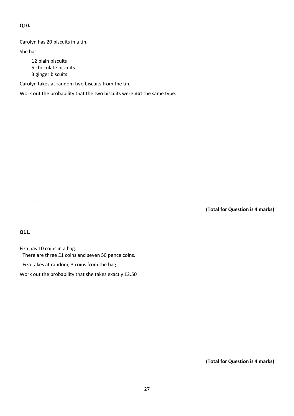#### **Q10.**

Carolyn has 20 biscuits in a tin.

She has

12 plain biscuits 5 chocolate biscuits 3 ginger biscuits

Carolyn takes at random two biscuits from the tin.

Work out the probability that the two biscuits were **not** the same type.

..............................................................................................................................................

**(Total for Question is 4 marks)**

**Q11.**

Fiza has 10 coins in a bag. There are three £1 coins and seven 50 pence coins.

Fiza takes at random, 3 coins from the bag.

Work out the probability that she takes exactly £2.50

..............................................................................................................................................